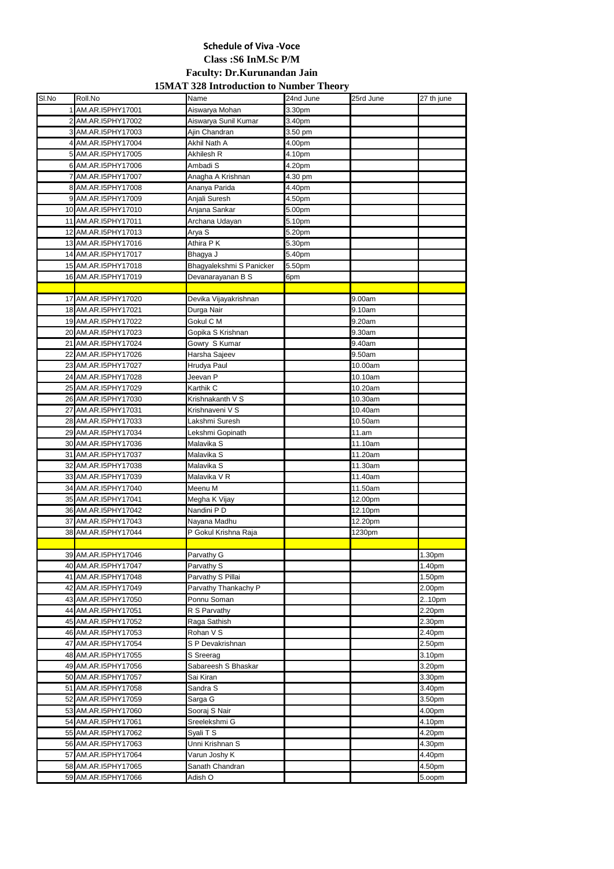| SI.No | Roll.No                                    | Name                                | 24nd June | 25rd June | 27 th june      |
|-------|--------------------------------------------|-------------------------------------|-----------|-----------|-----------------|
|       | AM.AR.I5PHY17001                           | Aiswarya Mohan                      | 3.30pm    |           |                 |
|       | 2 AM.AR.I5PHY17002                         | Aiswarya Sunil Kumar                | 3.40pm    |           |                 |
|       | 3 AM.AR.I5PHY17003                         | Ajin Chandran                       | 3.50 pm   |           |                 |
|       | 4 AM.AR.I5PHY17004                         | Akhil Nath A                        | 4.00pm    |           |                 |
|       | 5 AM.AR.I5PHY17005                         | Akhilesh R                          | 4.10pm    |           |                 |
|       | 6 AM.AR.I5PHY17006                         | Ambadi <sub>S</sub>                 | 4.20pm    |           |                 |
|       | AM.AR.I5PHY17007                           | Anagha A Krishnan                   | 4.30 pm   |           |                 |
|       | 8 AM.AR.I5PHY17008                         | Ananya Parida                       | 4.40pm    |           |                 |
|       | 9 AM.AR.I5PHY17009                         | Anjali Suresh                       | 4.50pm    |           |                 |
|       | 10 AM.AR.I5PHY17010                        | Anjana Sankar                       | 5.00pm    |           |                 |
|       | 11 AM.AR.I5PHY17011                        | Archana Udayan                      | 5.10pm    |           |                 |
|       | 12 AM.AR.I5PHY17013                        | Arya S                              | 5.20pm    |           |                 |
|       | 13 AM.AR.I5PHY17016                        | Athira P K                          | 5.30pm    |           |                 |
|       | 14 AM.AR.I5PHY17017                        | Bhagya J                            | 5.40pm    |           |                 |
|       | 15 AM.AR.I5PHY17018                        | Bhagyalekshmi S Panicker            | 5.50pm    |           |                 |
|       | 16 AM.AR.I5PHY17019                        | Devanarayanan B S                   | 6pm       |           |                 |
|       |                                            |                                     |           |           |                 |
|       | 17 AM.AR.I5PHY17020                        | Devika Vijayakrishnan               |           | 9.00am    |                 |
|       | 18 AM.AR.I5PHY17021                        | Durga Nair                          |           | 9.10am    |                 |
|       | 19 AM.AR.I5PHY17022                        | Gokul C M                           |           | 9.20am    |                 |
|       | 20 AM.AR.I5PHY17023                        | Gopika S Krishnan                   |           | 9.30am    |                 |
|       | 21 AM.AR.I5PHY17024                        | Gowry S Kumar                       |           | 9.40am    |                 |
|       | 22 AM.AR.I5PHY17026                        | Harsha Sajeev                       |           | 9.50am    |                 |
|       | 23 AM.AR.I5PHY17027                        | Hrudya Paul                         |           | 10.00am   |                 |
|       | 24 AM.AR.I5PHY17028                        | Jeevan P                            |           | 10.10am   |                 |
|       | 25 AM.AR.I5PHY17029                        | Karthik C                           |           | 10.20am   |                 |
|       | 26 AM.AR.I5PHY17030                        | Krishnakanth V S                    |           | 10.30am   |                 |
|       | 27 AM.AR.I5PHY17031                        | Krishnaveni V S                     |           | 10.40am   |                 |
|       | 28 AM.AR.I5PHY17033                        | Lakshmi Suresh                      |           | 10.50am   |                 |
|       | 29 AM.AR.I5PHY17034                        | Lekshmi Gopinath                    |           | 11.am     |                 |
|       | 30 AM.AR.I5PHY17036                        | Malavika S                          |           | 11.10am   |                 |
|       | 31 AM.AR.I5PHY17037                        | Malavika S                          |           | 11.20am   |                 |
|       | 32 AM.AR.I5PHY17038                        | Malavika S                          |           | 11.30am   |                 |
|       | 33 AM.AR.I5PHY17039                        | Malavika V R                        |           | 11.40am   |                 |
|       | 34 AM.AR.I5PHY17040                        | Meenu M                             |           | 11.50am   |                 |
|       | 35 AM.AR.I5PHY17041                        | Megha K Vijay                       |           | 12.00pm   |                 |
|       | 36 AM.AR.I5PHY17042                        | Nandini P D                         |           | 12.10pm   |                 |
|       | 37 AM.AR.I5PHY17043                        | Nayana Madhu                        |           | 12.20pm   |                 |
|       | 38 AM.AR.I5PHY17044                        | P Gokul Krishna Raja                |           | 1230pm    |                 |
|       |                                            |                                     |           |           |                 |
|       | 39 AM.AR.I5PHY17046                        | Parvathy G                          |           |           | 1.30pm          |
|       | 40 AM.AR.I5PHY17047                        | Parvathy S                          |           |           | 1.40pm          |
|       | 41 AM.AR.I5PHY17048<br>42 AM.AR.I5PHY17049 | Parvathy S Pillai                   |           |           | 1.50pm          |
|       | 43 AM.AR.I5PHY17050                        | Parvathy Thankachy P<br>Ponnu Soman |           |           | 2.00pm<br>210pm |
|       | 44 AM.AR.I5PHY17051                        | R S Parvathy                        |           |           | 2.20pm          |
|       | 45 AM.AR.I5PHY17052                        | Raga Sathish                        |           |           | 2.30pm          |
|       | 46 AM.AR.I5PHY17053                        | Rohan V S                           |           |           | 2.40pm          |
|       | 47 AM.AR.I5PHY17054                        | S P Devakrishnan                    |           |           | 2.50pm          |
|       | 48 AM.AR.I5PHY17055                        | S Sreerag                           |           |           | 3.10pm          |
|       | 49 AM.AR.I5PHY17056                        | Sabareesh S Bhaskar                 |           |           | 3.20pm          |
|       | 50 AM.AR.I5PHY17057                        | Sai Kiran                           |           |           | 3.30pm          |
|       | 51 AM.AR.I5PHY17058                        | Sandra S                            |           |           | 3.40pm          |
|       | 52 AM.AR.I5PHY17059                        | Sarga G                             |           |           | 3.50pm          |
|       | 53 AM.AR.I5PHY17060                        | Sooraj S Nair                       |           |           | 4.00pm          |
|       | 54 AM.AR.I5PHY17061                        | Sreelekshmi G                       |           |           | 4.10pm          |
|       | 55 AM.AR.I5PHY17062                        | Syali T S                           |           |           | 4.20pm          |
|       | 56 AM.AR.I5PHY17063                        | Unni Krishnan S                     |           |           | 4.30pm          |
|       | 57 AM.AR.I5PHY17064                        | Varun Joshy K                       |           |           | 4.40pm          |
|       | 58 AM.AR.I5PHY17065                        | Sanath Chandran                     |           |           | 4.50pm          |
|       | 59 AM.AR.I5PHY17066                        | Adish O                             |           |           | 5.00pm          |

## **Schedule of Viva -Voce**

**Class :S6 InM.Sc P/M**

## **Faculty: Dr.Kurunandan Jain**

## **15MAT 328 Introduction to Number Theory**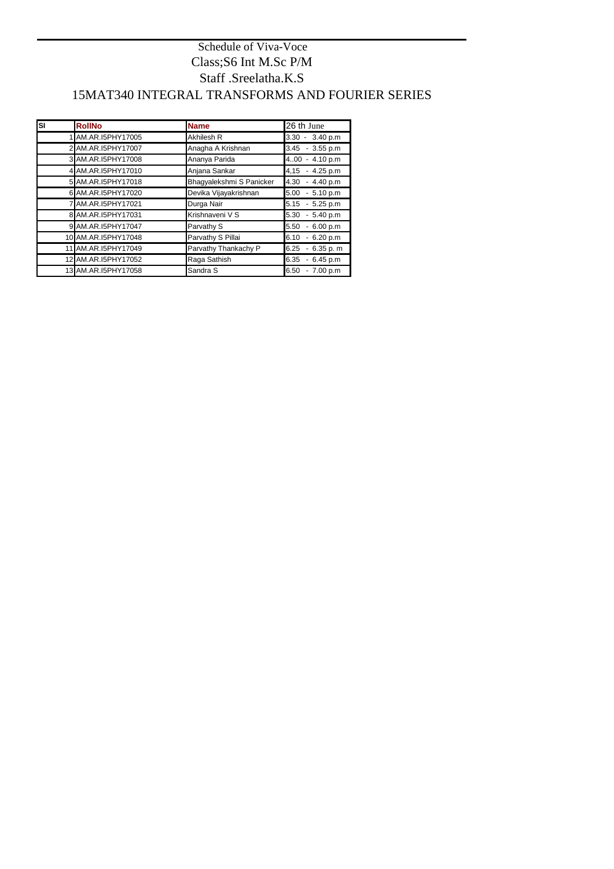| <b>SI</b> | <b>RollNo</b>       | <b>Name</b>              | 26 th June           |
|-----------|---------------------|--------------------------|----------------------|
|           | 1 AM.AR.I5PHY17005  | <b>Akhilesh R</b>        | $3.30 - 3.40 p.m$    |
|           | 2 AM.AR.I5PHY17007  | Anagha A Krishnan        | $3.45 - 3.55 p.m$    |
|           | 3 AM.AR.I5PHY17008  | Ananya Parida            | $-4.10 p.m$<br>400   |
|           | 4 AM.AR.I5PHY17010  | Anjana Sankar            | $-4.25 p.m$<br>4,15  |
|           | 5 AM.AR.I5PHY17018  | Bhagyalekshmi S Panicker | $-4.40 p.m$<br>4.30  |
|           | 6 AM.AR.I5PHY17020  | Devika Vijayakrishnan    | $-5.10 p.m$<br>5.00  |
|           | 7 AM.AR.I5PHY17021  | Durga Nair               | $-5.25 p.m$<br>5.15  |
|           | 8 AM.AR.I5PHY17031  | Krishnaveni V S          | $-5.40 p.m$<br>5.30  |
|           | 9 AM.AR.I5PHY17047  | Parvathy S               | 5.50<br>6.00 p.m     |
|           | 10 AM.AR.I5PHY17048 | Parvathy S Pillai        | $-6.20 p.m$<br>6.10  |
|           | 11 AM.AR.I5PHY17049 | Parvathy Thankachy P     | $-6.35 p. m$<br>6.25 |
|           | 12 AM.AR.I5PHY17052 | Raga Sathish             | 6.45 p.m<br>6.35     |
|           | 13 AM.AR.I5PHY17058 | Sandra S                 | 7.00 p.m<br>6.50     |

## Staff .Sreelatha.K.S 15MAT340 INTEGRAL TRANSFORMS AND FOURIER SERIES Schedule of Viva-Voce Class;S6 Int M.Sc P/M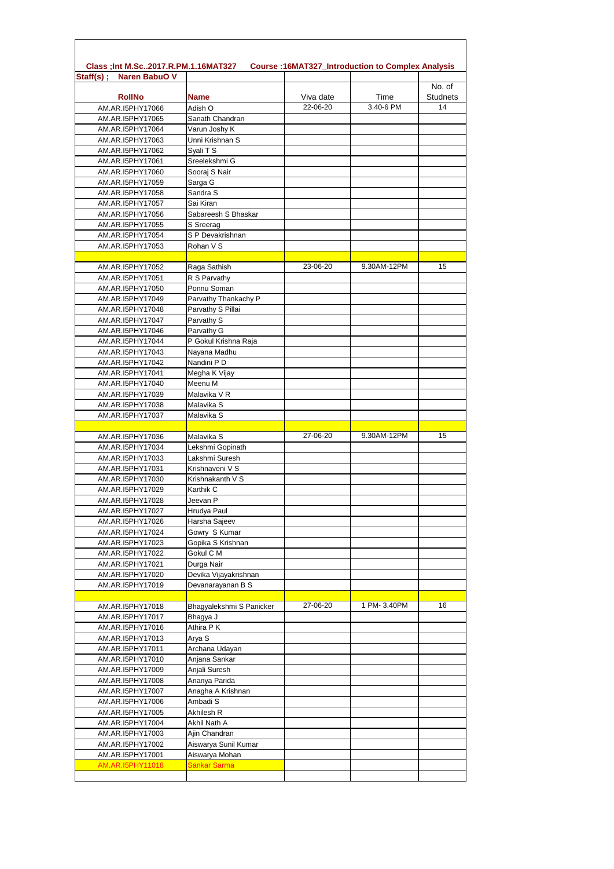| <b>Naren BabuO V</b><br>$Staff(s)$ ; |                                       |           |             |                           |
|--------------------------------------|---------------------------------------|-----------|-------------|---------------------------|
| <b>RollNo</b>                        | <b>Name</b>                           | Viva date | Time        | No. of<br><b>Studnets</b> |
| AM.AR.I5PHY17066                     | Adish O                               | 22-06-20  | 3.40-6 PM   | 14                        |
| AM.AR.I5PHY17065                     | Sanath Chandran                       |           |             |                           |
| AM.AR.I5PHY17064                     | Varun Joshy K                         |           |             |                           |
| AM.AR.I5PHY17063                     | Unni Krishnan S                       |           |             |                           |
| AM.AR.I5PHY17062                     | Syali T S                             |           |             |                           |
| AM.AR.I5PHY17061                     | Sreelekshmi G                         |           |             |                           |
| AM.AR.I5PHY17060                     | Sooraj S Nair                         |           |             |                           |
| AM.AR.I5PHY17059<br>AM.AR.I5PHY17058 | Sarga G<br>Sandra S                   |           |             |                           |
| AM.AR.I5PHY17057                     | Sai Kiran                             |           |             |                           |
| AM.AR.I5PHY17056                     | Sabareesh S Bhaskar                   |           |             |                           |
| AM.AR.I5PHY17055                     | S Sreerag                             |           |             |                           |
| AM.AR.I5PHY17054                     | S P Devakrishnan                      |           |             |                           |
| AM.AR.I5PHY17053                     | Rohan V S                             |           |             |                           |
| AM.AR.I5PHY17052                     | Raga Sathish                          | 23-06-20  | 9.30AM-12PM | 15                        |
| AM.AR.I5PHY17051                     | R S Parvathy                          |           |             |                           |
| AM.AR.I5PHY17050                     | Ponnu Soman                           |           |             |                           |
| AM.AR.I5PHY17049                     | Parvathy Thankachy P                  |           |             |                           |
| AM.AR.I5PHY17048                     | Parvathy S Pillai                     |           |             |                           |
| AM.AR.I5PHY17047                     | Parvathy S                            |           |             |                           |
| AM.AR.I5PHY17046                     | Parvathy G                            |           |             |                           |
| AM.AR.I5PHY17044                     | P Gokul Krishna Raja                  |           |             |                           |
| AM.AR.I5PHY17043                     | Nayana Madhu                          |           |             |                           |
| AM.AR.I5PHY17042                     | Nandini P D                           |           |             |                           |
| AM.AR.I5PHY17041<br>AM.AR.I5PHY17040 | Megha K Vijay<br>Meenu M              |           |             |                           |
| AM.AR.I5PHY17039                     | Malavika V R                          |           |             |                           |
| AM.AR.I5PHY17038                     | Malavika S                            |           |             |                           |
| AM.AR.I5PHY17037                     | Malavika S                            |           |             |                           |
|                                      | Malavika S                            | 27-06-20  | 9.30AM-12PM | 15                        |
| AM.AR.I5PHY17036<br>AM.AR.I5PHY17034 | Lekshmi Gopinath                      |           |             |                           |
| AM.AR.I5PHY17033                     | Lakshmi Suresh                        |           |             |                           |
| AM.AR.I5PHY17031                     | Krishnaveni V S                       |           |             |                           |
| AM.AR.I5PHY17030                     | Krishnakanth V S                      |           |             |                           |
| AM.AR.I5PHY17029                     | Karthik C                             |           |             |                           |
| AM.AR.I5PHY17028                     | Jeevan P                              |           |             |                           |
| AM.AR.I5PHY17027                     | Hrudya Paul                           |           |             |                           |
| AM.AR.I5PHY17026                     | Harsha Sajeev                         |           |             |                           |
| AM.AR.I5PHY17024<br>AM.AR.I5PHY17023 | Gowry S Kumar<br>Gopika S Krishnan    |           |             |                           |
| AM.AR.I5PHY17022                     | Gokul C M                             |           |             |                           |
| AM.AR.I5PHY17021                     | Durga Nair                            |           |             |                           |
| AM.AR.I5PHY17020                     | Devika Vijayakrishnan                 |           |             |                           |
| AM.AR.I5PHY17019                     | Devanarayanan B S                     |           |             |                           |
|                                      |                                       | 27-06-20  | 1 PM-3.40PM | 16                        |
| AM.AR.I5PHY17018<br>AM.AR.I5PHY17017 | Bhagyalekshmi S Panicker<br>Bhagya J  |           |             |                           |
| AM.AR.I5PHY17016                     | Athira PK                             |           |             |                           |
| AM.AR.I5PHY17013                     | Arya S                                |           |             |                           |
| AM.AR.I5PHY17011                     | Archana Udayan                        |           |             |                           |
| AM.AR.I5PHY17010                     | Anjana Sankar                         |           |             |                           |
| AM.AR.I5PHY17009                     | Anjali Suresh                         |           |             |                           |
| AM.AR.I5PHY17008                     | Ananya Parida                         |           |             |                           |
| AM.AR.I5PHY17007                     | Anagha A Krishnan                     |           |             |                           |
| AM.AR.I5PHY17006                     | Ambadi S                              |           |             |                           |
| AM.AR.I5PHY17005                     | Akhilesh R                            |           |             |                           |
| AM.AR.I5PHY17004                     | Akhil Nath A                          |           |             |                           |
|                                      |                                       |           |             |                           |
| AM.AR.I5PHY17003<br>AM.AR.I5PHY17002 | Ajin Chandran<br>Aiswarya Sunil Kumar |           |             |                           |